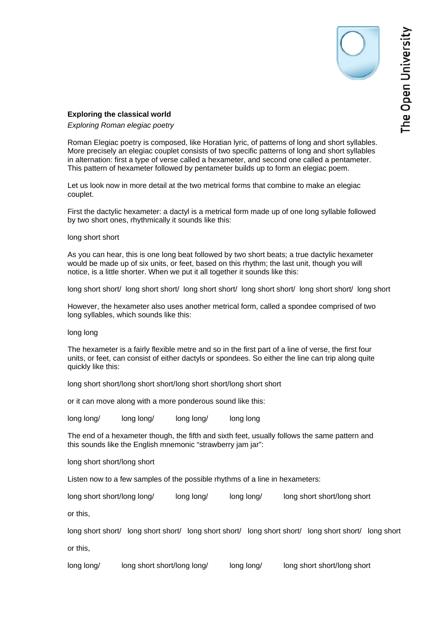## **Exploring the classical world**

*Exploring Roman elegiac poetry* 

Roman Elegiac poetry is composed, like Horatian lyric, of patterns of long and short syllables. More precisely an elegiac couplet consists of two specific patterns of long and short syllables in alternation: first a type of verse called a hexameter, and second one called a pentameter. This pattern of hexameter followed by pentameter builds up to form an elegiac poem.

Let us look now in more detail at the two metrical forms that combine to make an elegiac couplet.

First the dactylic hexameter: a dactyl is a metrical form made up of one long syllable followed by two short ones, rhythmically it sounds like this:

## long short short

As you can hear, this is one long beat followed by two short beats; a true dactylic hexameter would be made up of six units, or feet, based on this rhythm; the last unit, though you will notice, is a little shorter. When we put it all together it sounds like this:

long short short/ long short short/ long short short/ long short short/ long short short/ long short

However, the hexameter also uses another metrical form, called a spondee comprised of two long syllables, which sounds like this:

## long long

The hexameter is a fairly flexible metre and so in the first part of a line of verse, the first four units, or feet, can consist of either dactyls or spondees. So either the line can trip along quite quickly like this:

long short short/long short short/long short short short short short

or it can move along with a more ponderous sound like this:

long long/ long long/ long long/ long long

The end of a hexameter though, the fifth and sixth feet, usually follows the same pattern and this sounds like the English mnemonic "strawberry jam jar":

long short short/long short

Listen now to a few samples of the possible rhythms of a line in hexameters:

long short short/long long/ long long/ long long/ long short short/long short

or this,

long short short/ long short short/ long short short/ long short short/ long short short/ long short or this,

long long/ long short short/ long long/ long long/ long short short/ long short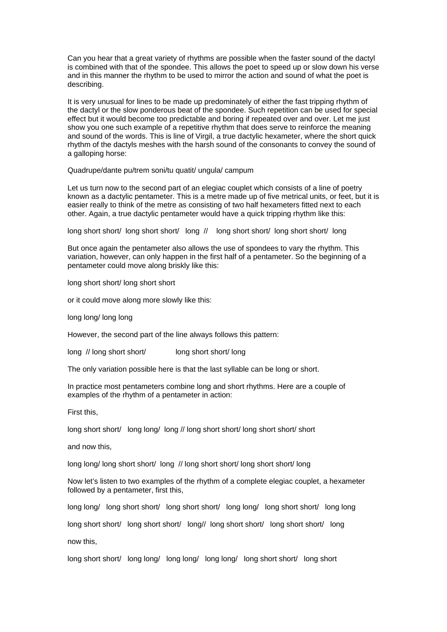Can you hear that a great variety of rhythms are possible when the faster sound of the dactyl is combined with that of the spondee. This allows the poet to speed up or slow down his verse and in this manner the rhythm to be used to mirror the action and sound of what the poet is describing.

It is very unusual for lines to be made up predominately of either the fast tripping rhythm of the dactyl or the slow ponderous beat of the spondee. Such repetition can be used for special effect but it would become too predictable and boring if repeated over and over. Let me just show you one such example of a repetitive rhythm that does serve to reinforce the meaning and sound of the words. This is line of Virgil, a true dactylic hexameter, where the short quick rhythm of the dactyls meshes with the harsh sound of the consonants to convey the sound of a galloping horse:

Quadrupe/dante pu/trem soni/tu quatit/ ungula/ campum

Let us turn now to the second part of an elegiac couplet which consists of a line of poetry known as a dactylic pentameter. This is a metre made up of five metrical units, or feet, but it is easier really to think of the metre as consisting of two half hexameters fitted next to each other. Again, a true dactylic pentameter would have a quick tripping rhythm like this:

long short short/ long short short/ long // long short short/ long short short/ long

But once again the pentameter also allows the use of spondees to vary the rhythm. This variation, however, can only happen in the first half of a pentameter. So the beginning of a pentameter could move along briskly like this:

long short short/ long short short

or it could move along more slowly like this:

long long/ long long

However, the second part of the line always follows this pattern:

long // long short short/ long short short/ long

The only variation possible here is that the last syllable can be long or short.

In practice most pentameters combine long and short rhythms. Here are a couple of examples of the rhythm of a pentameter in action:

First this,

long short short/ long long/ long // long short short/ long short short/ short

and now this,

long long/ long short short/ long // long short short/ long short short/ long

Now let's listen to two examples of the rhythm of a complete elegiac couplet, a hexameter followed by a pentameter, first this,

long long/ long short short/ long short short/ long long/ long short short/ long long

long short short/ long short short/ long// long short short/ long short short/ long

now this,

long short short/ long long/ long long/ long long/ long short short/ long short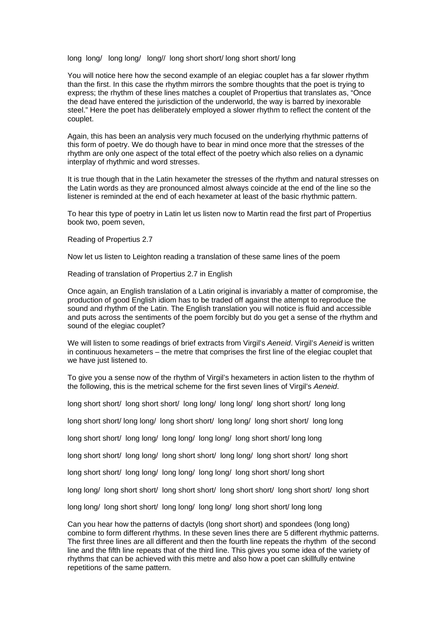long long/ long long/ long// long short short/ long short short/ long

You will notice here how the second example of an elegiac couplet has a far slower rhythm than the first. In this case the rhythm mirrors the sombre thoughts that the poet is trying to express; the rhythm of these lines matches a couplet of Propertius that translates as, "Once the dead have entered the jurisdiction of the underworld, the way is barred by inexorable steel." Here the poet has deliberately employed a slower rhythm to reflect the content of the couplet.

Again, this has been an analysis very much focused on the underlying rhythmic patterns of this form of poetry. We do though have to bear in mind once more that the stresses of the rhythm are only one aspect of the total effect of the poetry which also relies on a dynamic interplay of rhythmic and word stresses.

It is true though that in the Latin hexameter the stresses of the rhythm and natural stresses on the Latin words as they are pronounced almost always coincide at the end of the line so the listener is reminded at the end of each hexameter at least of the basic rhythmic pattern.

To hear this type of poetry in Latin let us listen now to Martin read the first part of Propertius book two, poem seven,

Reading of Propertius 2.7

Now let us listen to Leighton reading a translation of these same lines of the poem

Reading of translation of Propertius 2.7 in English

Once again, an English translation of a Latin original is invariably a matter of compromise, the production of good English idiom has to be traded off against the attempt to reproduce the sound and rhythm of the Latin. The English translation you will notice is fluid and accessible and puts across the sentiments of the poem forcibly but do you get a sense of the rhythm and sound of the elegiac couplet?

We will listen to some readings of brief extracts from Virgil's *Aeneid*. Virgil's *Aeneid* is written in continuous hexameters – the metre that comprises the first line of the elegiac couplet that we have just listened to.

To give you a sense now of the rhythm of Virgil's hexameters in action listen to the rhythm of the following, this is the metrical scheme for the first seven lines of Virgil's *Aeneid*.

long short short/ long short short/ long long/ long long/ long short short/ long long

long short short/ long long/ long short short/ long long/ long short short/ long long

long short short/ long long/ long long/ long long/ long short short/ long long

long short short/ long long/ long short short/ long long/ long short short/ long short

long short short/ long long/ long long/ long long/ long short short/ long short

long long/ long short short/ long short short/ long short short/ long short short/ long short

long long/ long short short/ long long/ long long/ long short short/ long long

Can you hear how the patterns of dactyls (long short short) and spondees (long long) combine to form different rhythms. In these seven lines there are 5 different rhythmic patterns. The first three lines are all different and then the fourth line repeats the rhythm of the second line and the fifth line repeats that of the third line. This gives you some idea of the variety of rhythms that can be achieved with this metre and also how a poet can skillfully entwine repetitions of the same pattern.